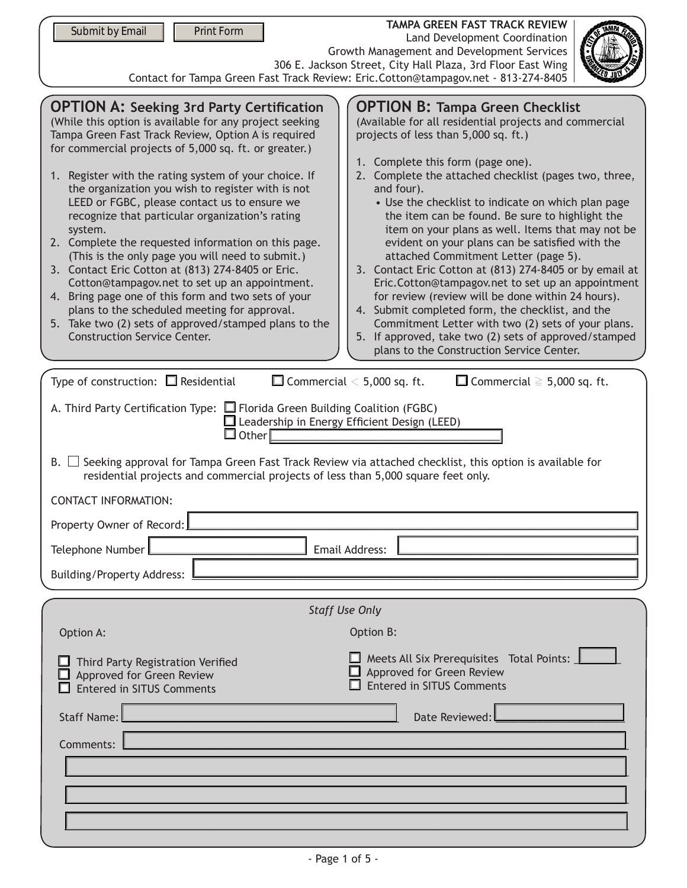| Submit by Email<br>Print Form                                                                                                                                                                                                                                                                                                                                                                                                                                                                                                                                                                                                                                                                                                                                                                                                                                                                                                                                                                                                                                                                                                                                                                                                                                                                                                                                                                                                                                                                                                                                                                                                                                                                                                                                                                                                  | <b>TAMPA GREEN FAST TRACK REVIEW</b><br><b>Land Development Coordination</b><br>Growth Management and Development Services<br>306 E. Jackson Street, City Hall Plaza, 3rd Floor East Wing |  |  |
|--------------------------------------------------------------------------------------------------------------------------------------------------------------------------------------------------------------------------------------------------------------------------------------------------------------------------------------------------------------------------------------------------------------------------------------------------------------------------------------------------------------------------------------------------------------------------------------------------------------------------------------------------------------------------------------------------------------------------------------------------------------------------------------------------------------------------------------------------------------------------------------------------------------------------------------------------------------------------------------------------------------------------------------------------------------------------------------------------------------------------------------------------------------------------------------------------------------------------------------------------------------------------------------------------------------------------------------------------------------------------------------------------------------------------------------------------------------------------------------------------------------------------------------------------------------------------------------------------------------------------------------------------------------------------------------------------------------------------------------------------------------------------------------------------------------------------------|-------------------------------------------------------------------------------------------------------------------------------------------------------------------------------------------|--|--|
| Contact for Tampa Green Fast Track Review: Eric.Cotton@tampagov.net - 813-274-8405<br><b>OPTION A: Seeking 3rd Party Certification</b><br><b>OPTION B: Tampa Green Checklist</b><br>(While this option is available for any project seeking<br>(Available for all residential projects and commercial<br>Tampa Green Fast Track Review, Option A is required<br>projects of less than 5,000 sq. ft.)<br>for commercial projects of 5,000 sq. ft. or greater.)<br>1. Complete this form (page one).<br>2. Complete the attached checklist (pages two, three,<br>1. Register with the rating system of your choice. If<br>the organization you wish to register with is not<br>and four).<br>LEED or FGBC, please contact us to ensure we<br>• Use the checklist to indicate on which plan page<br>recognize that particular organization's rating<br>the item can be found. Be sure to highlight the<br>item on your plans as well. Items that may not be<br>system.<br>evident on your plans can be satisfied with the<br>2. Complete the requested information on this page.<br>(This is the only page you will need to submit.)<br>attached Commitment Letter (page 5).<br>3. Contact Eric Cotton at (813) 274-8405 or Eric.<br>3. Contact Eric Cotton at (813) 274-8405 or by email at<br>Cotton@tampagov.net to set up an appointment.<br>Eric.Cotton@tampagov.net to set up an appointment<br>4. Bring page one of this form and two sets of your<br>for review (review will be done within 24 hours).<br>plans to the scheduled meeting for approval.<br>4. Submit completed form, the checklist, and the<br>5. Take two (2) sets of approved/stamped plans to the<br>Commitment Letter with two (2) sets of your plans.<br><b>Construction Service Center.</b><br>5. If approved, take two (2) sets of approved/stamped |                                                                                                                                                                                           |  |  |
| plans to the Construction Service Center.<br>Type of construction: $\Box$ Residential<br>$\Box$ Commercial $\leq$ 5,000 sq. ft.<br>$\Box$ Commercial $\geq$ 5,000 sq. ft.<br>A. Third Party Certification Type: $\Box$ Florida Green Building Coalition (FGBC)<br>$\Box$ Leadership in Energy Efficient Design (LEED)<br>$\square$ Other<br>$B. \ \Box$<br>Seeking approval for Tampa Green Fast Track Review via attached checklist, this option is available for<br>residential projects and commercial projects of less than 5,000 square feet only.<br><b>CONTACT INFORMATION:</b>                                                                                                                                                                                                                                                                                                                                                                                                                                                                                                                                                                                                                                                                                                                                                                                                                                                                                                                                                                                                                                                                                                                                                                                                                                         |                                                                                                                                                                                           |  |  |
| Property Owner of Record:                                                                                                                                                                                                                                                                                                                                                                                                                                                                                                                                                                                                                                                                                                                                                                                                                                                                                                                                                                                                                                                                                                                                                                                                                                                                                                                                                                                                                                                                                                                                                                                                                                                                                                                                                                                                      |                                                                                                                                                                                           |  |  |
| Telephone Number                                                                                                                                                                                                                                                                                                                                                                                                                                                                                                                                                                                                                                                                                                                                                                                                                                                                                                                                                                                                                                                                                                                                                                                                                                                                                                                                                                                                                                                                                                                                                                                                                                                                                                                                                                                                               | Email Address:                                                                                                                                                                            |  |  |
| <b>Building/Property Address:</b>                                                                                                                                                                                                                                                                                                                                                                                                                                                                                                                                                                                                                                                                                                                                                                                                                                                                                                                                                                                                                                                                                                                                                                                                                                                                                                                                                                                                                                                                                                                                                                                                                                                                                                                                                                                              |                                                                                                                                                                                           |  |  |
| <b>Staff Use Only</b>                                                                                                                                                                                                                                                                                                                                                                                                                                                                                                                                                                                                                                                                                                                                                                                                                                                                                                                                                                                                                                                                                                                                                                                                                                                                                                                                                                                                                                                                                                                                                                                                                                                                                                                                                                                                          |                                                                                                                                                                                           |  |  |
| Option A:                                                                                                                                                                                                                                                                                                                                                                                                                                                                                                                                                                                                                                                                                                                                                                                                                                                                                                                                                                                                                                                                                                                                                                                                                                                                                                                                                                                                                                                                                                                                                                                                                                                                                                                                                                                                                      | Option B:                                                                                                                                                                                 |  |  |
| $\Box$ Meets All Six Prerequisites $\,$ Total Points: $\Box$<br>Third Party Registration Verified<br>Approved for Green Review<br>Approved for Green Review<br><b>Entered in SITUS Comments</b><br><b>Entered in SITUS Comments</b>                                                                                                                                                                                                                                                                                                                                                                                                                                                                                                                                                                                                                                                                                                                                                                                                                                                                                                                                                                                                                                                                                                                                                                                                                                                                                                                                                                                                                                                                                                                                                                                            |                                                                                                                                                                                           |  |  |
| <b>Staff Name:</b><br>Comments:                                                                                                                                                                                                                                                                                                                                                                                                                                                                                                                                                                                                                                                                                                                                                                                                                                                                                                                                                                                                                                                                                                                                                                                                                                                                                                                                                                                                                                                                                                                                                                                                                                                                                                                                                                                                | Date Reviewed:                                                                                                                                                                            |  |  |
|                                                                                                                                                                                                                                                                                                                                                                                                                                                                                                                                                                                                                                                                                                                                                                                                                                                                                                                                                                                                                                                                                                                                                                                                                                                                                                                                                                                                                                                                                                                                                                                                                                                                                                                                                                                                                                |                                                                                                                                                                                           |  |  |
|                                                                                                                                                                                                                                                                                                                                                                                                                                                                                                                                                                                                                                                                                                                                                                                                                                                                                                                                                                                                                                                                                                                                                                                                                                                                                                                                                                                                                                                                                                                                                                                                                                                                                                                                                                                                                                |                                                                                                                                                                                           |  |  |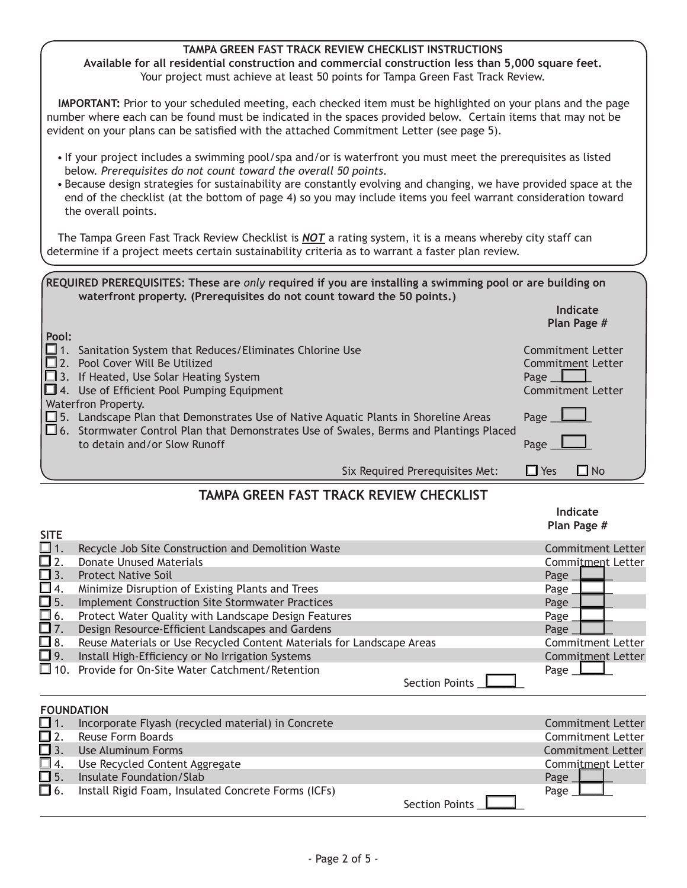## **TAMPA GREEN FAST TRACK REVIEW CHECKLIST INSTRUCTIONS**

**Available for all residential construction and commercial construction less than 5,000 square feet.** Your project must achieve at least 50 points for Tampa Green Fast Track Review.

**IMPORTANT:** Prior to your scheduled meeting, each checked item must be highlighted on your plans and the page number where each can be found must be indicated in the spaces provided below. Certain items that may not be evident on your plans can be satisfied with the attached Commitment Letter (see page 5).

- If your project includes a swimming pool/spa and/or is waterfront you must meet the prerequisites as listed below. *Prerequisites do not count toward the overall 50 points.*
- Because design strategies for sustainability are constantly evolving and changing, we have provided space at the end of the checklist (at the bottom of page 4) so you may include items you feel warrant consideration toward the overall points.

The Tampa Green Fast Track Review Checklist is *NOT* a rating system, it is a means whereby city staff can determine if a project meets certain sustainability criteria as to warrant a faster plan review.

| REQUIRED PREREQUISITES: These are only required if you are installing a swimming pool or are building on |  |
|----------------------------------------------------------------------------------------------------------|--|
| waterfront property. (Prerequisites do not count toward the 50 points.)                                  |  |

**Indicate Plan Page #**

**Indicate**

| Pool:    |                                                                                               |                          |
|----------|-----------------------------------------------------------------------------------------------|--------------------------|
| $\Box$ 1 | Sanitation System that Reduces/Eliminates Chlorine Use                                        | Commitment Letter        |
| $\Box$ 2 | Pool Cover Will Be Utilized                                                                   | <b>Commitment Letter</b> |
|          | $\Box$ 3. If Heated, Use Solar Heating System                                                 | Page                     |
|          | $\Box$ 4. Use of Efficient Pool Pumping Equipment                                             | <b>Commitment Letter</b> |
|          | Waterfron Property.                                                                           |                          |
|          | $\Box$ 5. Landscape Plan that Demonstrates Use of Native Aquatic Plants in Shoreline Areas    | Page                     |
|          | $\Box$ 6. Stormwater Control Plan that Demonstrates Use of Swales, Berms and Plantings Placed |                          |
|          | to detain and/or Slow Runoff                                                                  | Page                     |
|          |                                                                                               |                          |
|          | <b>Six Required Prerequisites Met:</b>                                                        | $\Box$ No<br>$\Box$ Yes  |

## **TAMPA GREEN FAST TRACK REVIEW CHECKLIST**

| <b>SITE</b>          |                                                                       | Plan Page #              |
|----------------------|-----------------------------------------------------------------------|--------------------------|
| $\square$ 1.         | Recycle Job Site Construction and Demolition Waste                    | <b>Commitment Letter</b> |
| $\square$ 2.         | <b>Donate Unused Materials</b>                                        | Commitment Letter        |
| $\Box$ 3.            | <b>Protect Native Soil</b>                                            | Page                     |
| $\Box$ 4.            | Minimize Disruption of Existing Plants and Trees                      | Page                     |
| $\overline{\Box}$ 5. | <b>Implement Construction Site Stormwater Practices</b>               | Page                     |
| $\Box$ 6.            | Protect Water Quality with Landscape Design Features                  | Page                     |
| $\square$ 7.         | Design Resource-Efficient Landscapes and Gardens                      | Page                     |
| $\square$ 8.         | Reuse Materials or Use Recycled Content Materials for Landscape Areas | <b>Commitment Letter</b> |
| $\Box$ 9.            | Install High-Efficiency or No Irrigation Systems                      | <b>Commitment Letter</b> |
| $\Box$ 10.           | Provide for On-Site Water Catchment/Retention                         | Page _                   |
|                      | <b>Section Points</b>                                                 |                          |
| <b>FOUNDATION</b>    |                                                                       |                          |
| $\Box$ 1.            | Incorporate Flyash (recycled material) in Concrete                    | <b>Commitment Letter</b> |
| $\Box$ 2.            | Reuse Form Boards                                                     | <b>Commitment Letter</b> |
| $\Box$ 3.            | Use Aluminum Forms                                                    | <b>Commitment Letter</b> |
| $\Box$ 4.            | Use Recycled Content Aggregate                                        | Commitment Letter        |

| 囗 6.<br>5. Install Rigid Foam, Insulated Concrete Forms (ICFs) | Page |  |  |
|----------------------------------------------------------------|------|--|--|

| <b>Section Points</b> |  |  |
|-----------------------|--|--|
|-----------------------|--|--|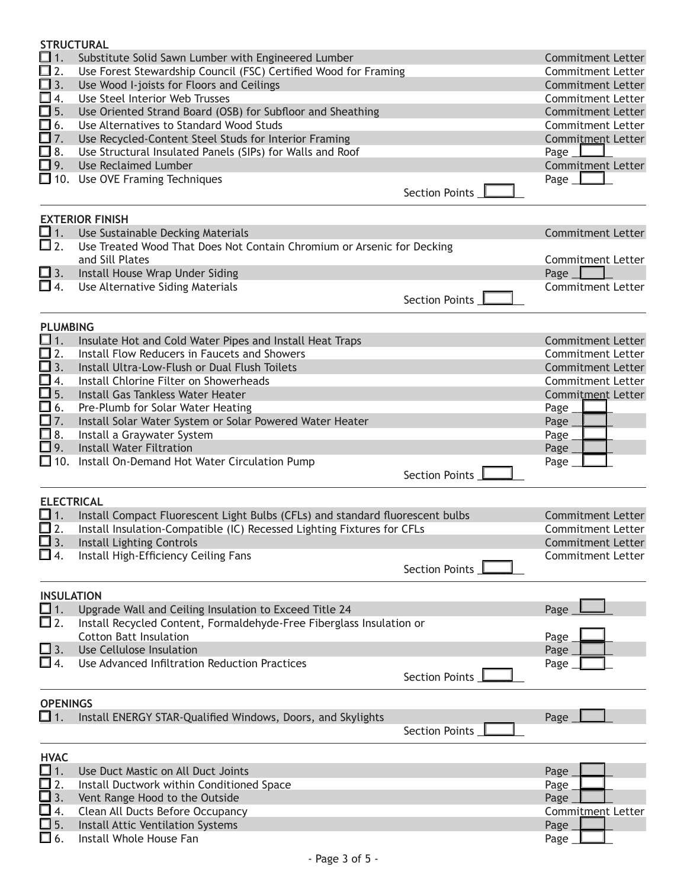| <b>STRUCTURAL</b>            |                                                                               |                       |                          |
|------------------------------|-------------------------------------------------------------------------------|-----------------------|--------------------------|
| $\square$ 1.                 | Substitute Solid Sawn Lumber with Engineered Lumber                           |                       | <b>Commitment Letter</b> |
| $\square$ 2.                 | Use Forest Stewardship Council (FSC) Certified Wood for Framing               |                       | Commitment Letter        |
| $\square$ 3.                 | Use Wood I-joists for Floors and Ceilings                                     |                       | <b>Commitment Letter</b> |
| □ 4.                         | Use Steel Interior Web Trusses                                                |                       | <b>Commitment Letter</b> |
| $\square$ 5.                 | Use Oriented Strand Board (OSB) for Subfloor and Sheathing                    |                       | <b>Commitment Letter</b> |
| 囗 6.                         | Use Alternatives to Standard Wood Studs                                       |                       | Commitment Letter        |
| □7.                          | Use Recycled-Content Steel Studs for Interior Framing                         |                       | Commitment Letter        |
| □ 8.                         | Use Structural Insulated Panels (SIPs) for Walls and Roof                     |                       | Page _                   |
| □ 9.                         | <b>Use Reclaimed Lumber</b>                                                   |                       | <b>Commitment Letter</b> |
|                              | $\Box$ 10. Use OVE Framing Techniques                                         |                       | Page $\perp$             |
|                              |                                                                               | Section Points        |                          |
|                              |                                                                               |                       |                          |
|                              | <b>EXTERIOR FINISH</b>                                                        |                       |                          |
| $\square$ 1.                 | Use Sustainable Decking Materials                                             |                       | <b>Commitment Letter</b> |
| $\square$ 2.                 | Use Treated Wood That Does Not Contain Chromium or Arsenic for Decking        |                       |                          |
|                              | and Sill Plates                                                               |                       | <b>Commitment Letter</b> |
| $\Box$ 3.                    | Install House Wrap Under Siding                                               |                       | Page $\Box$              |
| $\Box$ 4.                    | Use Alternative Siding Materials                                              |                       | <b>Commitment Letter</b> |
|                              |                                                                               | Section Points        |                          |
|                              |                                                                               |                       |                          |
| <b>PLUMBING</b>              |                                                                               |                       |                          |
| $\square$ 1.                 | Insulate Hot and Cold Water Pipes and Install Heat Traps                      |                       | <b>Commitment Letter</b> |
| $\prod_{3}^{12}$             | Install Flow Reducers in Faucets and Showers                                  |                       | Commitment Letter        |
|                              | Install Ultra-Low-Flush or Dual Flush Toilets                                 |                       | <b>Commitment Letter</b> |
| 囗 4.                         | Install Chlorine Filter on Showerheads                                        |                       | Commitment Letter        |
| $\square$ 5.                 | Install Gas Tankless Water Heater                                             |                       | Commitment Letter        |
| 囗 6.                         | Pre-Plumb for Solar Water Heating                                             |                       | Page                     |
| 囗7.                          | Install Solar Water System or Solar Powered Water Heater                      |                       | Page                     |
| $\square$ 8.                 | Install a Graywater System                                                    |                       | Page                     |
| $\square$ 9.                 | <b>Install Water Filtration</b>                                               |                       | Page                     |
|                              | $\Box$ 10. Install On-Demand Hot Water Circulation Pump                       |                       | Page                     |
|                              |                                                                               | Section Points        |                          |
|                              |                                                                               |                       |                          |
| <b>ELECTRICAL</b>            |                                                                               |                       |                          |
| $\square$ 1.                 | Install Compact Fluorescent Light Bulbs (CFLs) and standard fluorescent bulbs |                       | <b>Commitment Letter</b> |
| 口 2.                         | Install Insulation-Compatible (IC) Recessed Lighting Fixtures for CFLs        |                       | <b>Commitment Letter</b> |
|                              | 3. Install Lighting Controls                                                  |                       | <b>Commitment Letter</b> |
| □ 4.                         | Install High-Efficiency Ceiling Fans                                          |                       | <b>Commitment Letter</b> |
|                              |                                                                               | Section Points        |                          |
|                              |                                                                               |                       |                          |
| <b>INSULATION</b>            |                                                                               |                       |                          |
| □ 1.                         | Upgrade Wall and Ceiling Insulation to Exceed Title 24                        |                       | Page                     |
| $\square$ 2.                 | Install Recycled Content, Formaldehyde-Free Fiberglass Insulation or          |                       |                          |
|                              | <b>Cotton Batt Insulation</b>                                                 |                       | Page                     |
| $\square$ 3.                 | Use Cellulose Insulation                                                      |                       | Page                     |
| $\square$ 4.                 | Use Advanced Infiltration Reduction Practices                                 |                       | Page                     |
|                              |                                                                               | <b>Section Points</b> |                          |
|                              |                                                                               |                       |                          |
| <b>OPENINGS</b><br>□ 1.      | Install ENERGY STAR-Qualified Windows, Doors, and Skylights                   |                       | Page                     |
|                              |                                                                               | <b>Section Points</b> |                          |
|                              |                                                                               |                       |                          |
| <b>HVAC</b>                  |                                                                               |                       |                          |
| □ 1.                         | Use Duct Mastic on All Duct Joints                                            |                       | Page                     |
|                              |                                                                               |                       |                          |
|                              |                                                                               |                       |                          |
| ∐ 2.                         | Install Ductwork within Conditioned Space                                     |                       | Page                     |
| $\square$ 3.                 | Vent Range Hood to the Outside                                                |                       | Page                     |
| ❏ 4.                         | Clean All Ducts Before Occupancy                                              |                       | <b>Commitment Letter</b> |
| $\square$ 5.<br>$\square$ 6. | Install Attic Ventilation Systems<br>Install Whole House Fan                  |                       | Page<br>Page             |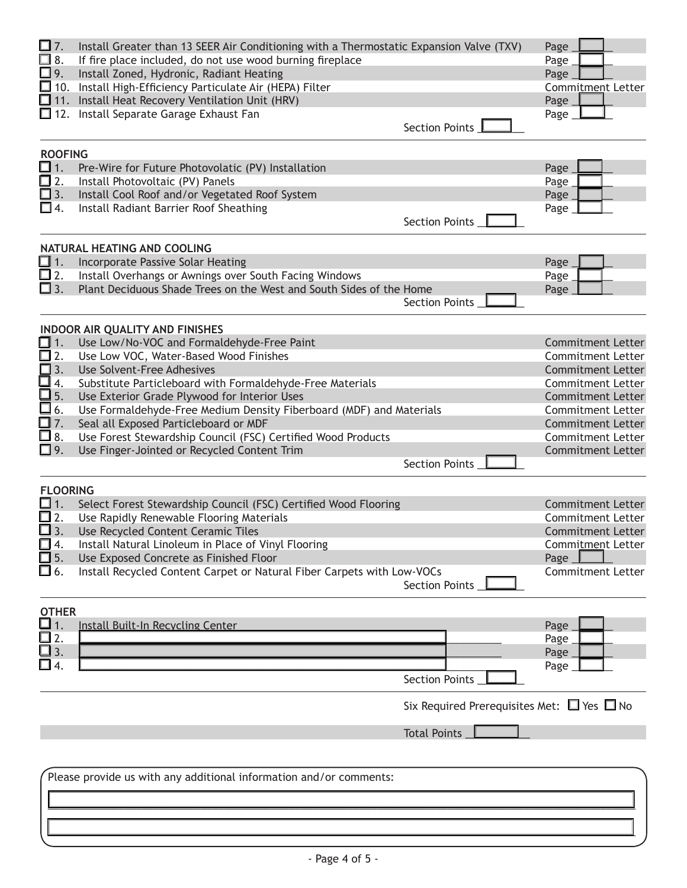| □ 7.<br>$\Box$ 8.<br>□ 9.    | Install Greater than 13 SEER Air Conditioning with a Thermostatic Expansion Valve (TXV)<br>If fire place included, do not use wood burning fireplace<br>Install Zoned, Hydronic, Radiant Heating |                                                      | Page<br>Page<br>Page                                 |
|------------------------------|--------------------------------------------------------------------------------------------------------------------------------------------------------------------------------------------------|------------------------------------------------------|------------------------------------------------------|
|                              | $\Box$ 10. Install High-Efficiency Particulate Air (HEPA) Filter<br>11. Install Heat Recovery Ventilation Unit (HRV)                                                                             |                                                      | <b>Commitment Letter</b>                             |
|                              | 12. Install Separate Garage Exhaust Fan                                                                                                                                                          |                                                      | Page<br>Page                                         |
|                              |                                                                                                                                                                                                  | Section Points                                       |                                                      |
| <b>ROOFING</b>               |                                                                                                                                                                                                  |                                                      |                                                      |
| $\square$ 1.                 | Pre-Wire for Future Photovolatic (PV) Installation                                                                                                                                               |                                                      | Page                                                 |
| □ 2.                         | Install Photovoltaic (PV) Panels                                                                                                                                                                 |                                                      | Page                                                 |
| $\square$ 3.<br>囗 4.         | Install Cool Roof and/or Vegetated Roof System<br>Install Radiant Barrier Roof Sheathing                                                                                                         |                                                      | Page                                                 |
|                              |                                                                                                                                                                                                  | Section Points _                                     | Page                                                 |
|                              | NATURAL HEATING AND COOLING                                                                                                                                                                      |                                                      |                                                      |
| $\Box$ 1.                    | Incorporate Passive Solar Heating                                                                                                                                                                |                                                      | Page                                                 |
| $\square$ 2.                 | Install Overhangs or Awnings over South Facing Windows                                                                                                                                           |                                                      | Page                                                 |
| $\square$ 3.                 | Plant Deciduous Shade Trees on the West and South Sides of the Home                                                                                                                              | Section Points_                                      | Page                                                 |
|                              | <b>INDOOR AIR QUALITY AND FINISHES</b>                                                                                                                                                           |                                                      |                                                      |
| $\Box$ 1.                    | Use Low/No-VOC and Formaldehyde-Free Paint                                                                                                                                                       |                                                      | <b>Commitment Letter</b>                             |
| $\square$ 2.                 | Use Low VOC, Water-Based Wood Finishes                                                                                                                                                           |                                                      | Commitment Letter                                    |
| $\square$ 3.                 | Use Solvent-Free Adhesives                                                                                                                                                                       |                                                      | <b>Commitment Letter</b>                             |
| ❏ 4.<br>$\square$ 5.         | Substitute Particleboard with Formaldehyde-Free Materials                                                                                                                                        |                                                      | <b>Commitment Letter</b><br><b>Commitment Letter</b> |
| $\square$ 6.                 | Use Exterior Grade Plywood for Interior Uses<br>Use Formaldehyde-Free Medium Density Fiberboard (MDF) and Materials                                                                              |                                                      | <b>Commitment Letter</b>                             |
| $\square$ 7.                 | Seal all Exposed Particleboard or MDF                                                                                                                                                            |                                                      | <b>Commitment Letter</b>                             |
| $\square$ 8.                 | Use Forest Stewardship Council (FSC) Certified Wood Products                                                                                                                                     |                                                      | <b>Commitment Letter</b>                             |
| □ 9.                         | Use Finger-Jointed or Recycled Content Trim                                                                                                                                                      |                                                      | <b>Commitment Letter</b>                             |
|                              |                                                                                                                                                                                                  | Section Points _                                     |                                                      |
| <b>FLOORING</b>              |                                                                                                                                                                                                  |                                                      |                                                      |
| $\square$ 1.                 | Select Forest Stewardship Council (FSC) Certified Wood Flooring                                                                                                                                  |                                                      | <b>Commitment Letter</b>                             |
| □ 2.                         | Use Rapidly Renewable Flooring Materials                                                                                                                                                         |                                                      | <b>Commitment Letter</b>                             |
| $\square$ 3.                 | Use Recycled Content Ceramic Tiles                                                                                                                                                               |                                                      | <b>Commitment Letter</b>                             |
| ❏ 4.                         | Install Natural Linoleum in Place of Vinyl Flooring                                                                                                                                              |                                                      | Commitment Letter                                    |
| $\square$ 5.<br>$\square$ 6. | Use Exposed Concrete as Finished Floor<br>Install Recycled Content Carpet or Natural Fiber Carpets with Low-VOCs                                                                                 |                                                      | Page<br><b>Commitment Letter</b>                     |
|                              |                                                                                                                                                                                                  | Section Points L                                     |                                                      |
| <b>OTHER</b>                 |                                                                                                                                                                                                  |                                                      |                                                      |
|                              | <b>Install Built-In Recycling Center</b>                                                                                                                                                         |                                                      | Page                                                 |
| 囗2.                          |                                                                                                                                                                                                  |                                                      | Page                                                 |
| $\mathbf{3}$                 |                                                                                                                                                                                                  |                                                      | Page                                                 |
|                              |                                                                                                                                                                                                  |                                                      | Page                                                 |
|                              |                                                                                                                                                                                                  | <b>Section Points</b>                                |                                                      |
|                              |                                                                                                                                                                                                  | Six Required Prerequisites Met: $\Box$ Yes $\Box$ No |                                                      |
|                              |                                                                                                                                                                                                  | <b>Total Points</b>                                  |                                                      |
|                              |                                                                                                                                                                                                  |                                                      |                                                      |
|                              | Please provide us with any additional information and/or comments:                                                                                                                               |                                                      |                                                      |
|                              |                                                                                                                                                                                                  |                                                      |                                                      |
|                              |                                                                                                                                                                                                  |                                                      |                                                      |
|                              |                                                                                                                                                                                                  |                                                      |                                                      |